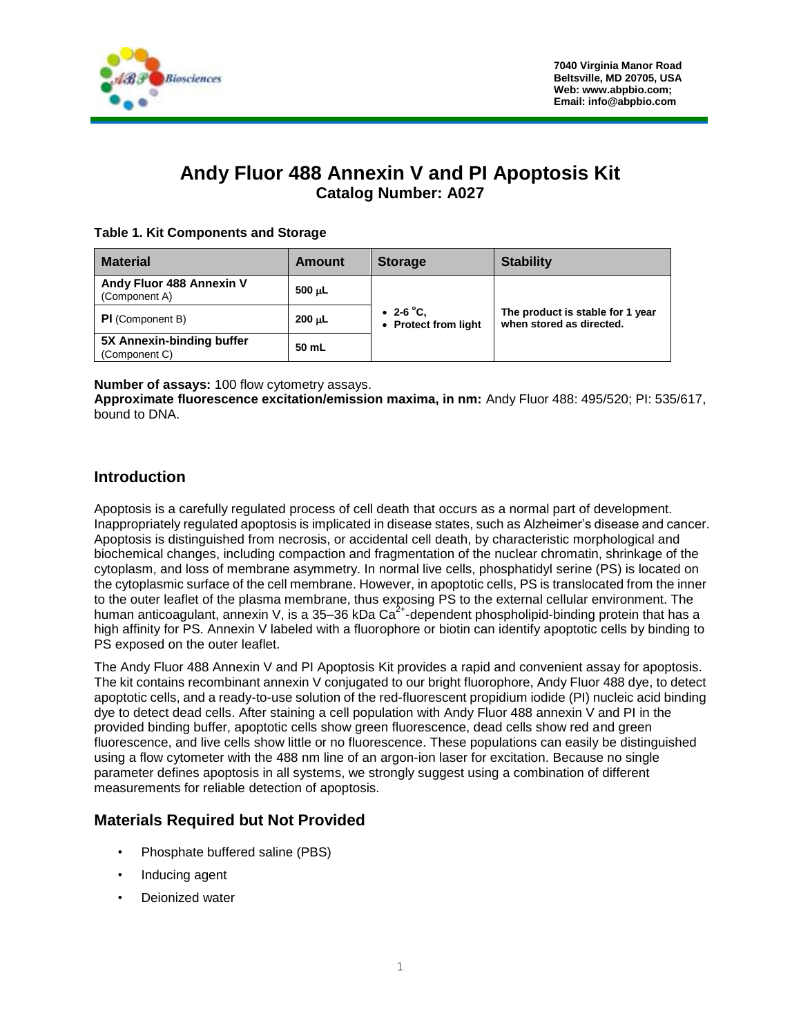

# **Andy Fluor 488 Annexin V and PI Apoptosis Kit Catalog Number: A027**

#### **Table 1. Kit Components and Storage**

| <b>Material</b>                            | Amount      | <b>Storage</b>                              | <b>Stability</b>                                             |
|--------------------------------------------|-------------|---------------------------------------------|--------------------------------------------------------------|
| Andy Fluor 488 Annexin V<br>(Component A)  | $500 \mu L$ |                                             |                                                              |
| <b>PI</b> (Component B)                    | 200 µL      | • 2-6 $^{\circ}$ C,<br>• Protect from light | The product is stable for 1 year<br>when stored as directed. |
| 5X Annexin-binding buffer<br>(Component C) | 50 mL       |                                             |                                                              |

**Number of assays:** 100 flow cytometry assays.

**Approximate fluorescence excitation/emission maxima, in nm:** Andy Fluor 488: 495/520; PI: 535/617, bound to DNA.

#### **Introduction**

Apoptosis is a carefully regulated process of cell death that occurs as a normal part of development. Inappropriately regulated apoptosis is implicated in disease states, such as Alzheimer's disease and cancer. Apoptosis is distinguished from necrosis, or accidental cell death, by characteristic morphological and biochemical changes, including compaction and fragmentation of the nuclear chromatin, shrinkage of the cytoplasm, and loss of membrane asymmetry. In normal live cells, phosphatidyl serine (PS) is located on the cytoplasmic surface of the cell membrane. However, in apoptotic cells, PS is translocated from the inner to the outer leaflet of the plasma membrane, thus exposing PS to the external cellular environment. The human anticoagulant, annexin V, is a 35–36 kDa Ca<sup>2+</sup>-dependent phospholipid-binding protein that has a high affinity for PS. Annexin V labeled with a fluorophore or biotin can identify apoptotic cells by binding to PS exposed on the outer leaflet.

The Andy Fluor 488 Annexin V and PI Apoptosis Kit provides a rapid and convenient assay for apoptosis. The kit contains recombinant annexin V conjugated to our bright fluorophore, Andy Fluor 488 dye, to detect apoptotic cells, and a ready-to-use solution of the red-fluorescent propidium iodide (PI) nucleic acid binding dye to detect dead cells. After staining a cell population with Andy Fluor 488 annexin V and PI in the provided binding buffer, apoptotic cells show green fluorescence, dead cells show red and green fluorescence, and live cells show little or no fluorescence. These populations can easily be distinguished using a flow cytometer with the 488 nm line of an argon-ion laser for excitation. Because no single parameter defines apoptosis in all systems, we strongly suggest using a combination of different measurements for reliable detection of apoptosis.

### **Materials Required but Not Provided**

- Phosphate buffered saline (PBS)
- Inducing agent
- Deionized water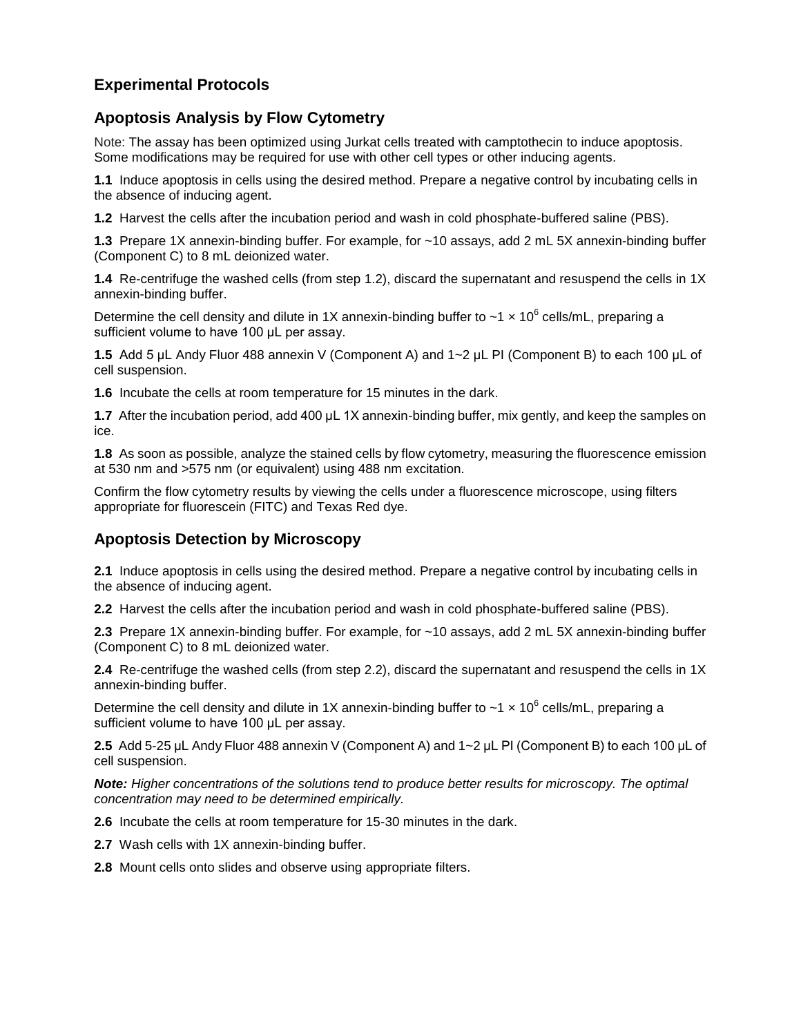## **Experimental Protocols**

### **Apoptosis Analysis by Flow Cytometry**

Note: The assay has been optimized using Jurkat cells treated with camptothecin to induce apoptosis. Some modifications may be required for use with other cell types or other inducing agents.

**1.1** Induce apoptosis in cells using the desired method. Prepare a negative control by incubating cells in the absence of inducing agent.

**1.2** Harvest the cells after the incubation period and wash in cold phosphate-buffered saline (PBS).

**1.3** Prepare 1X annexin-binding buffer. For example, for ~10 assays, add 2 mL 5X annexin-binding buffer (Component C) to 8 mL deionized water.

**1.4** Re-centrifuge the washed cells (from step 1.2), discard the supernatant and resuspend the cells in 1X annexin-binding buffer.

Determine the cell density and dilute in 1X annexin-binding buffer to ~1  $\times$  10<sup>6</sup> cells/mL, preparing a sufficient volume to have 100 μL per assay.

**1.5** Add 5 μL Andy Fluor 488 annexin V (Component A) and 1~2 μL PI (Component B) to each 100 μL of cell suspension.

**1.6** Incubate the cells at room temperature for 15 minutes in the dark.

**1.7** After the incubation period, add 400 μL 1X annexin-binding buffer, mix gently, and keep the samples on ice.

**1.8** As soon as possible, analyze the stained cells by flow cytometry, measuring the fluorescence emission at 530 nm and >575 nm (or equivalent) using 488 nm excitation.

Confirm the flow cytometry results by viewing the cells under a fluorescence microscope, using filters appropriate for fluorescein (FITC) and Texas Red dye.

#### **Apoptosis Detection by Microscopy**

**2.1** Induce apoptosis in cells using the desired method. Prepare a negative control by incubating cells in the absence of inducing agent.

**2.2** Harvest the cells after the incubation period and wash in cold phosphate-buffered saline (PBS).

**2.3** Prepare 1X annexin-binding buffer. For example, for ~10 assays, add 2 mL 5X annexin-binding buffer (Component C) to 8 mL deionized water.

**2.4** Re-centrifuge the washed cells (from step 2.2), discard the supernatant and resuspend the cells in 1X annexin-binding buffer.

Determine the cell density and dilute in 1X annexin-binding buffer to ~1  $\times$  10<sup>6</sup> cells/mL, preparing a sufficient volume to have 100 μL per assay.

**2.5** Add 5-25 μL Andy Fluor 488 annexin V (Component A) and 1~2 μL PI (Component B) to each 100 μL of cell suspension.

*Note: Higher concentrations of the solutions tend to produce better results for microscopy. The optimal concentration may need to be determined empirically.*

**2.6** Incubate the cells at room temperature for 15-30 minutes in the dark.

**2.7** Wash cells with 1X annexin-binding buffer.

**2.8** Mount cells onto slides and observe using appropriate filters.